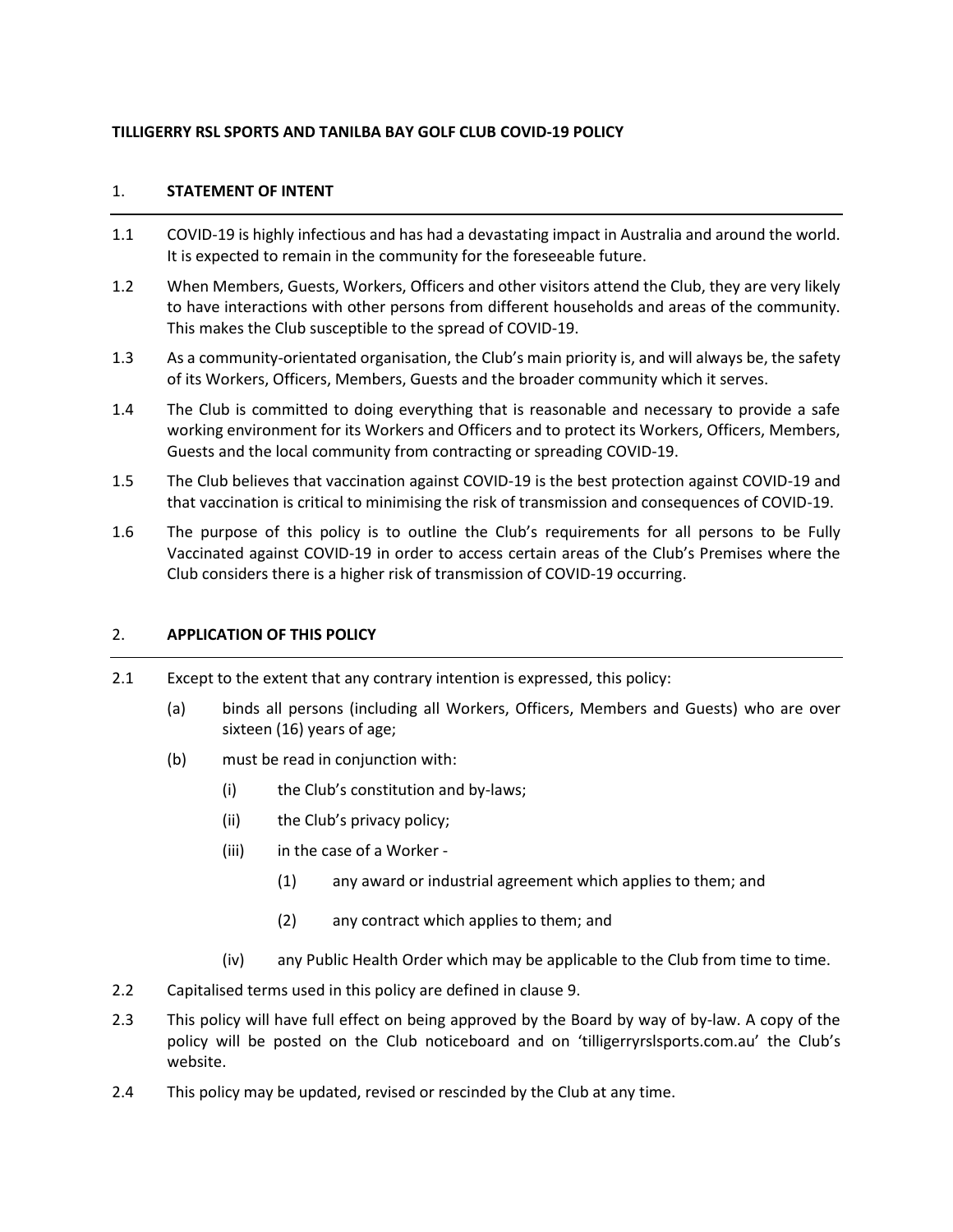## **TILLIGERRY RSL SPORTS AND TANILBA BAY GOLF CLUB COVID-19 POLICY**

# 1. **STATEMENT OF INTENT**

- 1.1 COVID-19 is highly infectious and has had a devastating impact in Australia and around the world. It is expected to remain in the community for the foreseeable future.
- 1.2 When Members, Guests, Workers, Officers and other visitors attend the Club, they are very likely to have interactions with other persons from different households and areas of the community. This makes the Club susceptible to the spread of COVID-19.
- 1.3 As a community-orientated organisation, the Club's main priority is, and will always be, the safety of its Workers, Officers, Members, Guests and the broader community which it serves.
- 1.4 The Club is committed to doing everything that is reasonable and necessary to provide a safe working environment for its Workers and Officers and to protect its Workers, Officers, Members, Guests and the local community from contracting or spreading COVID-19.
- 1.5 The Club believes that vaccination against COVID-19 is the best protection against COVID-19 and that vaccination is critical to minimising the risk of transmission and consequences of COVID-19.
- 1.6 The purpose of this policy is to outline the Club's requirements for all persons to be Fully Vaccinated against COVID-19 in order to access certain areas of the Club's Premises where the Club considers there is a higher risk of transmission of COVID-19 occurring.

### 2. **APPLICATION OF THIS POLICY**

- 2.1 Except to the extent that any contrary intention is expressed, this policy:
	- (a) binds all persons (including all Workers, Officers, Members and Guests) who are over sixteen (16) years of age;
	- (b) must be read in conjunction with:
		- (i) the Club's constitution and by-laws;
		- (ii) the Club's privacy policy;
		- (iii) in the case of a Worker -
			- (1) any award or industrial agreement which applies to them; and
			- (2) any contract which applies to them; and
		- (iv) any Public Health Order which may be applicable to the Club from time to time.
- 2.2 Capitalised terms used in this policy are defined in clause [9.](#page-6-0)
- 2.3 This policy will have full effect on being approved by the Board by way of by-law. A copy of the policy will be posted on the Club noticeboard and on 'tilligerryrslsports.com.au' the Club's website.
- 2.4 This policy may be updated, revised or rescinded by the Club at any time.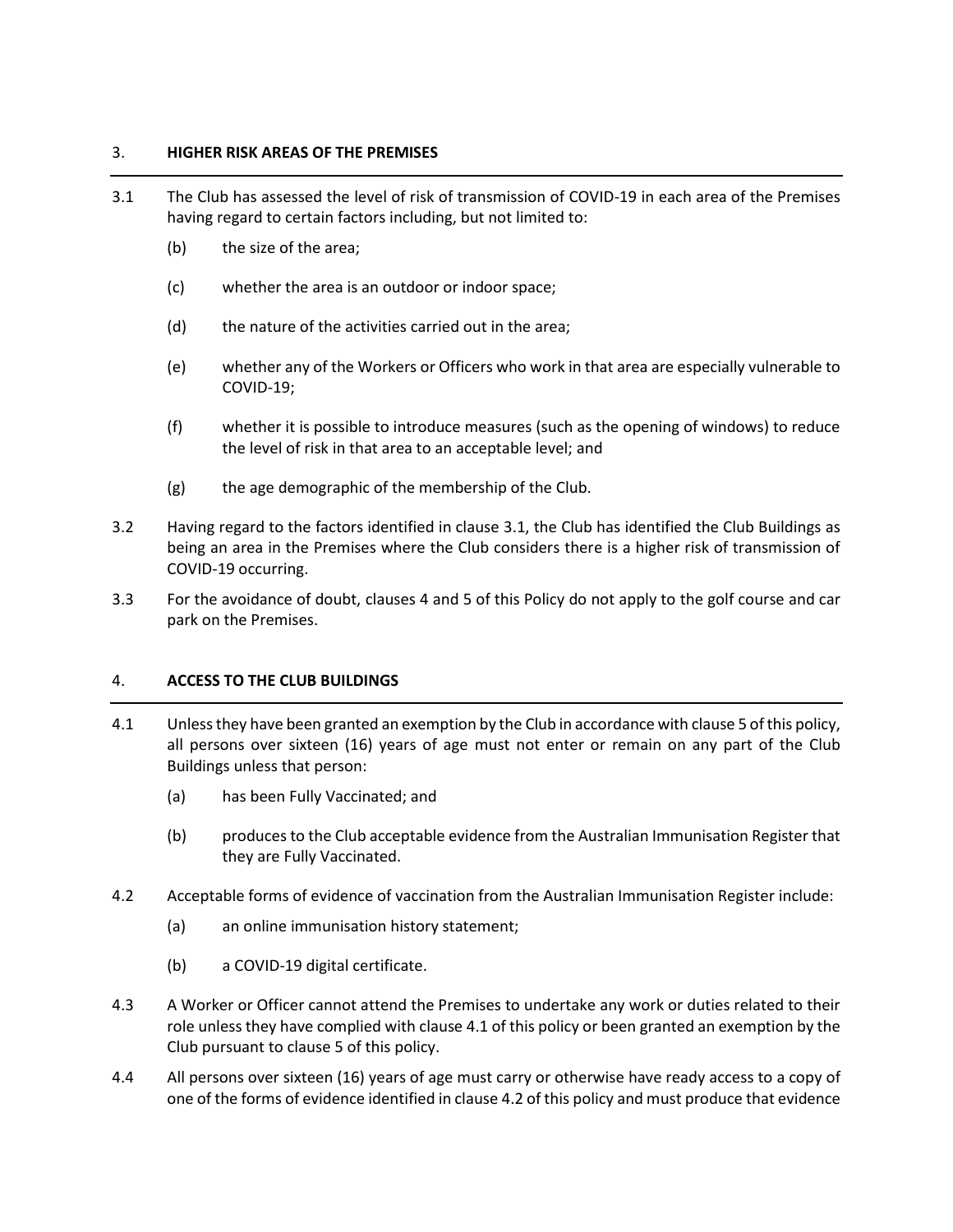## 3. **HIGHER RISK AREAS OF THE PREMISES**

- <span id="page-1-0"></span>3.1 The Club has assessed the level of risk of transmission of COVID-19 in each area of the Premises having regard to certain factors including, but not limited to:
	- (b) the size of the area;
	- (c) whether the area is an outdoor or indoor space;
	- (d) the nature of the activities carried out in the area;
	- (e) whether any of the Workers or Officers who work in that area are especially vulnerable to COVID-19;
	- (f) whether it is possible to introduce measures (such as the opening of windows) to reduce the level of risk in that area to an acceptable level; and
	- (g) the age demographic of the membership of the Club.
- 3.2 Having regard to the factors identified in clause [3.1,](#page-1-0) the Club has identified the Club Buildings as being an area in the Premises where the Club considers there is a higher risk of transmission of COVID-19 occurring.
- 3.3 For the avoidance of doubt, clauses [4](#page-1-1) an[d 5](#page-2-0) of this Policy do not apply to the golf course and car park on the Premises.

### <span id="page-1-1"></span>4. **ACCESS TO THE CLUB BUILDINGS**

- <span id="page-1-2"></span>4.1 Unless they have been granted an exemption by the Club in accordance with claus[e 5](#page-2-0) of this policy, all persons over sixteen (16) years of age must not enter or remain on any part of the Club Buildings unless that person:
	- (a) has been Fully Vaccinated; and
	- (b) produces to the Club acceptable evidence from the Australian Immunisation Register that they are Fully Vaccinated.
- <span id="page-1-3"></span>4.2 Acceptable forms of evidence of vaccination from the Australian Immunisation Register include:
	- (a) an online immunisation history statement;
	- (b) a COVID-19 digital certificate.
- 4.3 A Worker or Officer cannot attend the Premises to undertake any work or duties related to their role unless they have complied with claus[e 4.1](#page-1-2) of this policy or been granted an exemption by the Club pursuant to clause [5](#page-2-0) of this policy.
- 4.4 All persons over sixteen (16) years of age must carry or otherwise have ready access to a copy of one of the forms of evidence identified in claus[e 4.2](#page-1-3) of this policy and must produce that evidence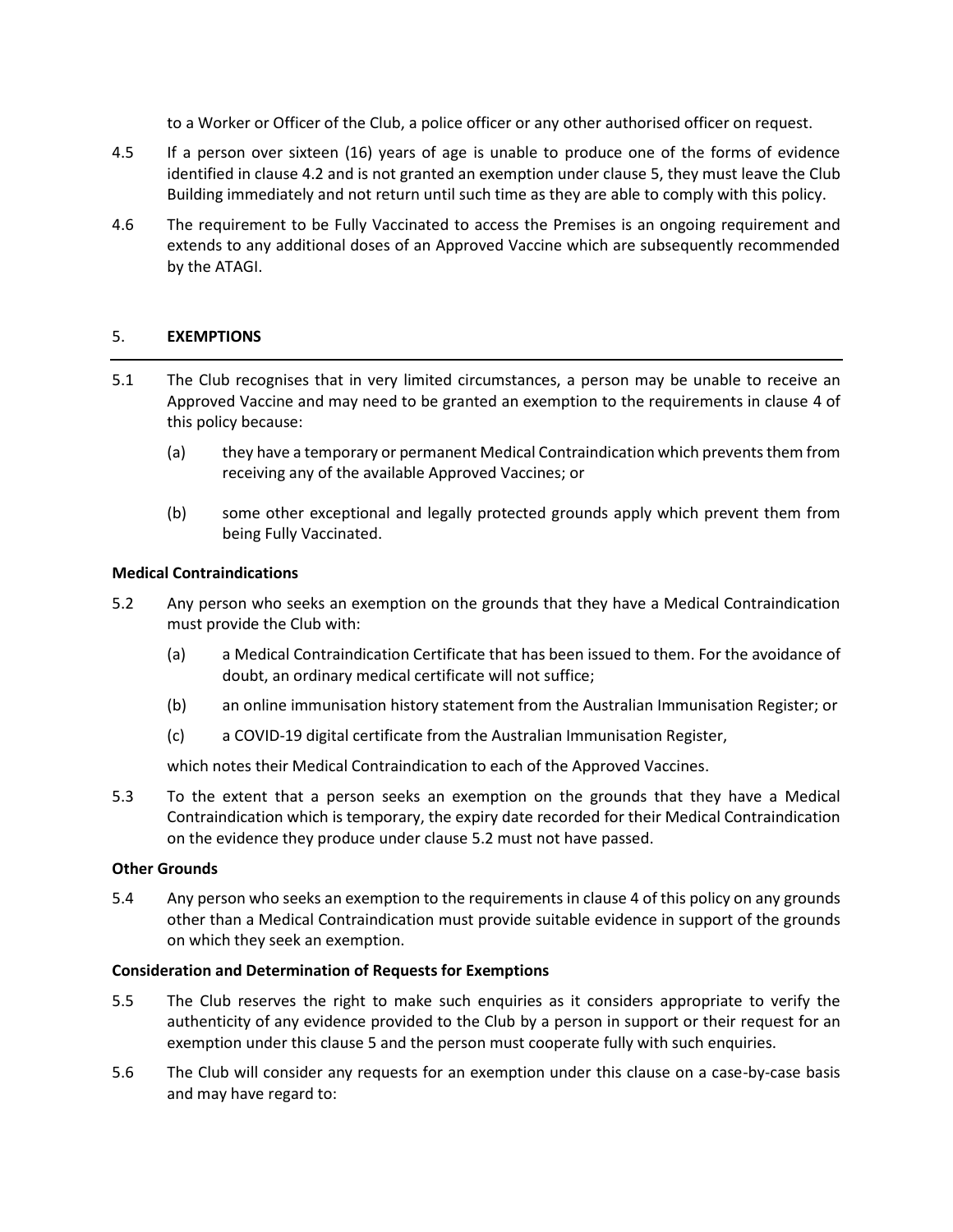to a Worker or Officer of the Club, a police officer or any other authorised officer on request.

- 4.5 If a person over sixteen (16) years of age is unable to produce one of the forms of evidence identified in clause [4.2](#page-1-3) and is not granted an exemption under clause [5,](#page-2-0) they must leave the Club Building immediately and not return until such time as they are able to comply with this policy.
- 4.6 The requirement to be Fully Vaccinated to access the Premises is an ongoing requirement and extends to any additional doses of an Approved Vaccine which are subsequently recommended by the ATAGI.

### <span id="page-2-0"></span>5. **EXEMPTIONS**

- 5.1 The Club recognises that in very limited circumstances, a person may be unable to receive an Approved Vaccine and may need to be granted an exemption to the requirements in clause [4](#page-1-1) of this policy because:
	- (a) they have a temporary or permanent Medical Contraindication which prevents them from receiving any of the available Approved Vaccines; or
	- (b) some other exceptional and legally protected grounds apply which prevent them from being Fully Vaccinated.

### **Medical Contraindications**

- <span id="page-2-1"></span>5.2 Any person who seeks an exemption on the grounds that they have a Medical Contraindication must provide the Club with:
	- (a) a Medical Contraindication Certificate that has been issued to them. For the avoidance of doubt, an ordinary medical certificate will not suffice;
	- (b) an online immunisation history statement from the Australian Immunisation Register; or
	- (c) a COVID-19 digital certificate from the Australian Immunisation Register,

which notes their Medical Contraindication to each of the Approved Vaccines.

5.3 To the extent that a person seeks an exemption on the grounds that they have a Medical Contraindication which is temporary, the expiry date recorded for their Medical Contraindication on the evidence they produce under clause [5.2](#page-2-1) must not have passed.

### **Other Grounds**

<span id="page-2-2"></span>5.4 Any person who seeks an exemption to the requirements in clause [4](#page-1-1) of this policy on any grounds other than a Medical Contraindication must provide suitable evidence in support of the grounds on which they seek an exemption.

### **Consideration and Determination of Requests for Exemptions**

- 5.5 The Club reserves the right to make such enquiries as it considers appropriate to verify the authenticity of any evidence provided to the Club by a person in support or their request for an exemption under this clause [5](#page-2-0) and the person must cooperate fully with such enquiries.
- 5.6 The Club will consider any requests for an exemption under this clause on a case-by-case basis and may have regard to: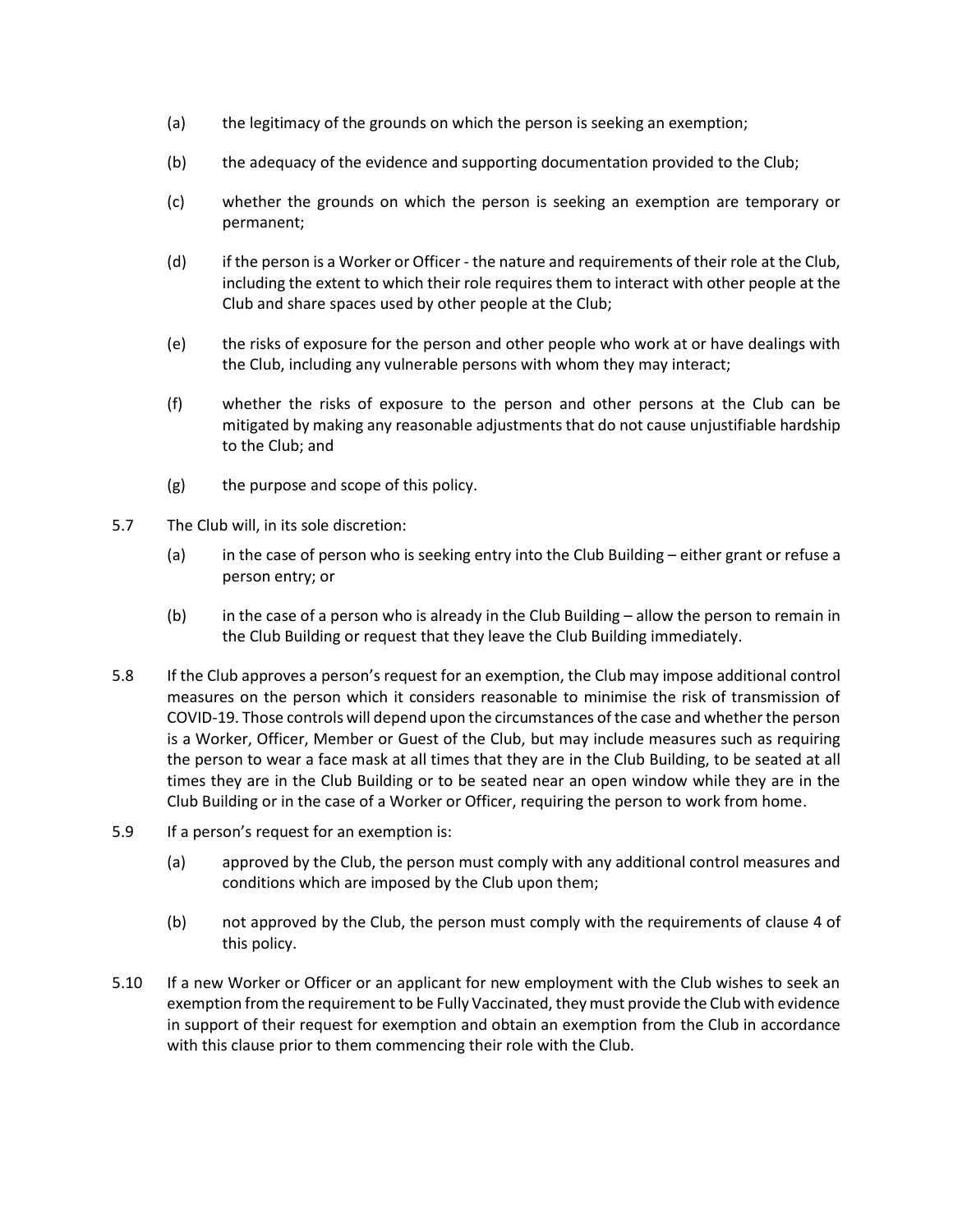- (a) the legitimacy of the grounds on which the person is seeking an exemption;
- (b) the adequacy of the evidence and supporting documentation provided to the Club;
- (c) whether the grounds on which the person is seeking an exemption are temporary or permanent;
- (d) if the person is a Worker or Officer the nature and requirements of their role at the Club, including the extent to which their role requires them to interact with other people at the Club and share spaces used by other people at the Club;
- (e) the risks of exposure for the person and other people who work at or have dealings with the Club, including any vulnerable persons with whom they may interact;
- (f) whether the risks of exposure to the person and other persons at the Club can be mitigated by making any reasonable adjustments that do not cause unjustifiable hardship to the Club; and
- (g) the purpose and scope of this policy.
- 5.7 The Club will, in its sole discretion:
	- (a) in the case of person who is seeking entry into the Club Building either grant or refuse a person entry; or
	- (b) in the case of a person who is already in the Club Building allow the person to remain in the Club Building or request that they leave the Club Building immediately.
- 5.8 If the Club approves a person's request for an exemption, the Club may impose additional control measures on the person which it considers reasonable to minimise the risk of transmission of COVID-19. Those controls will depend upon the circumstances of the case and whether the person is a Worker, Officer, Member or Guest of the Club, but may include measures such as requiring the person to wear a face mask at all times that they are in the Club Building, to be seated at all times they are in the Club Building or to be seated near an open window while they are in the Club Building or in the case of a Worker or Officer, requiring the person to work from home.
- 5.9 If a person's request for an exemption is:
	- (a) approved by the Club, the person must comply with any additional control measures and conditions which are imposed by the Club upon them;
	- (b) not approved by the Club, the person must comply with the requirements of clause [4](#page-1-1) of this policy.
- 5.10 If a new Worker or Officer or an applicant for new employment with the Club wishes to seek an exemption from the requirement to be Fully Vaccinated, they must provide the Club with evidence in support of their request for exemption and obtain an exemption from the Club in accordance with this clause prior to them commencing their role with the Club.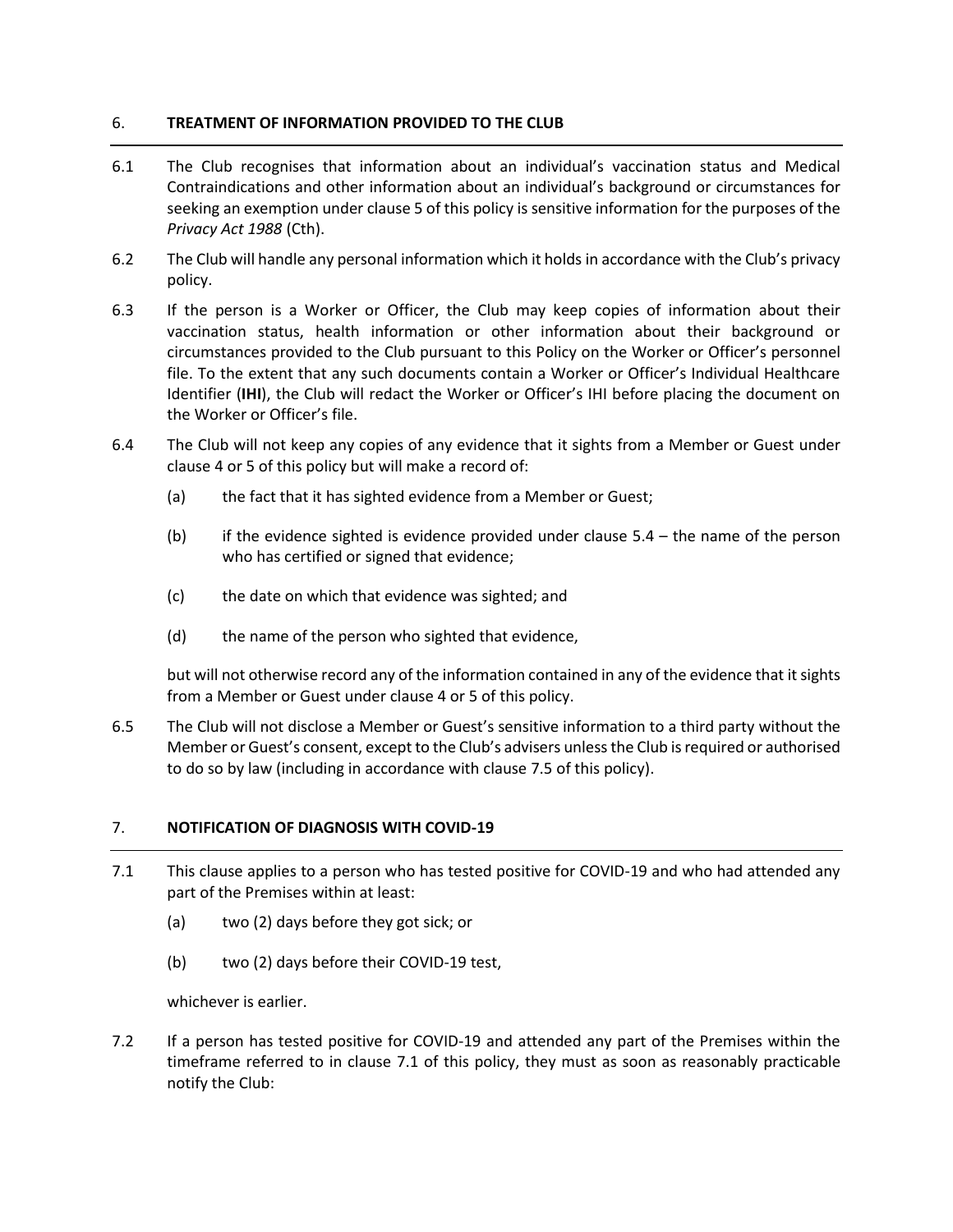# 6. **TREATMENT OF INFORMATION PROVIDED TO THE CLUB**

- 6.1 The Club recognises that information about an individual's vaccination status and Medical Contraindications and other information about an individual's background or circumstances for seeking an exemption under clause [5](#page-2-0) of this policy is sensitive information for the purposes of the *Privacy Act 1988* (Cth).
- 6.2 The Club will handle any personal information which it holds in accordance with the Club's privacy policy.
- 6.3 If the person is a Worker or Officer, the Club may keep copies of information about their vaccination status, health information or other information about their background or circumstances provided to the Club pursuant to this Policy on the Worker or Officer's personnel file. To the extent that any such documents contain a Worker or Officer's Individual Healthcare Identifier (**IHI**), the Club will redact the Worker or Officer's IHI before placing the document on the Worker or Officer's file.
- 6.4 The Club will not keep any copies of any evidence that it sights from a Member or Guest under clause [4](#page-1-1) or [5](#page-2-0) of this policy but will make a record of:
	- (a) the fact that it has sighted evidence from a Member or Guest;
	- (b) if the evidence sighted is evidence provided under clause [5.4](#page-2-2) the name of the person who has certified or signed that evidence;
	- (c) the date on which that evidence was sighted; and
	- (d) the name of the person who sighted that evidence,

but will not otherwise record any of the information contained in any of the evidence that it sights from a Member or Guest under clause [4](#page-1-1) or [5](#page-2-0) of this policy.

6.5 The Club will not disclose a Member or Guest's sensitive information to a third party without the Member or Guest's consent, except to the Club's advisers unless the Club is required or authorised to do so by law (including in accordance with clause [7.5](#page-5-0) of this policy).

# 7. **NOTIFICATION OF DIAGNOSIS WITH COVID-19**

- <span id="page-4-0"></span>7.1 This clause applies to a person who has tested positive for COVID-19 and who had attended any part of the Premises within at least:
	- (a) two (2) days before they got sick; or
	- (b) two (2) days before their COVID-19 test,

whichever is earlier.

<span id="page-4-1"></span>7.2 If a person has tested positive for COVID-19 and attended any part of the Premises within the timeframe referred to in clause [7.1](#page-4-0) of this policy, they must as soon as reasonably practicable notify the Club: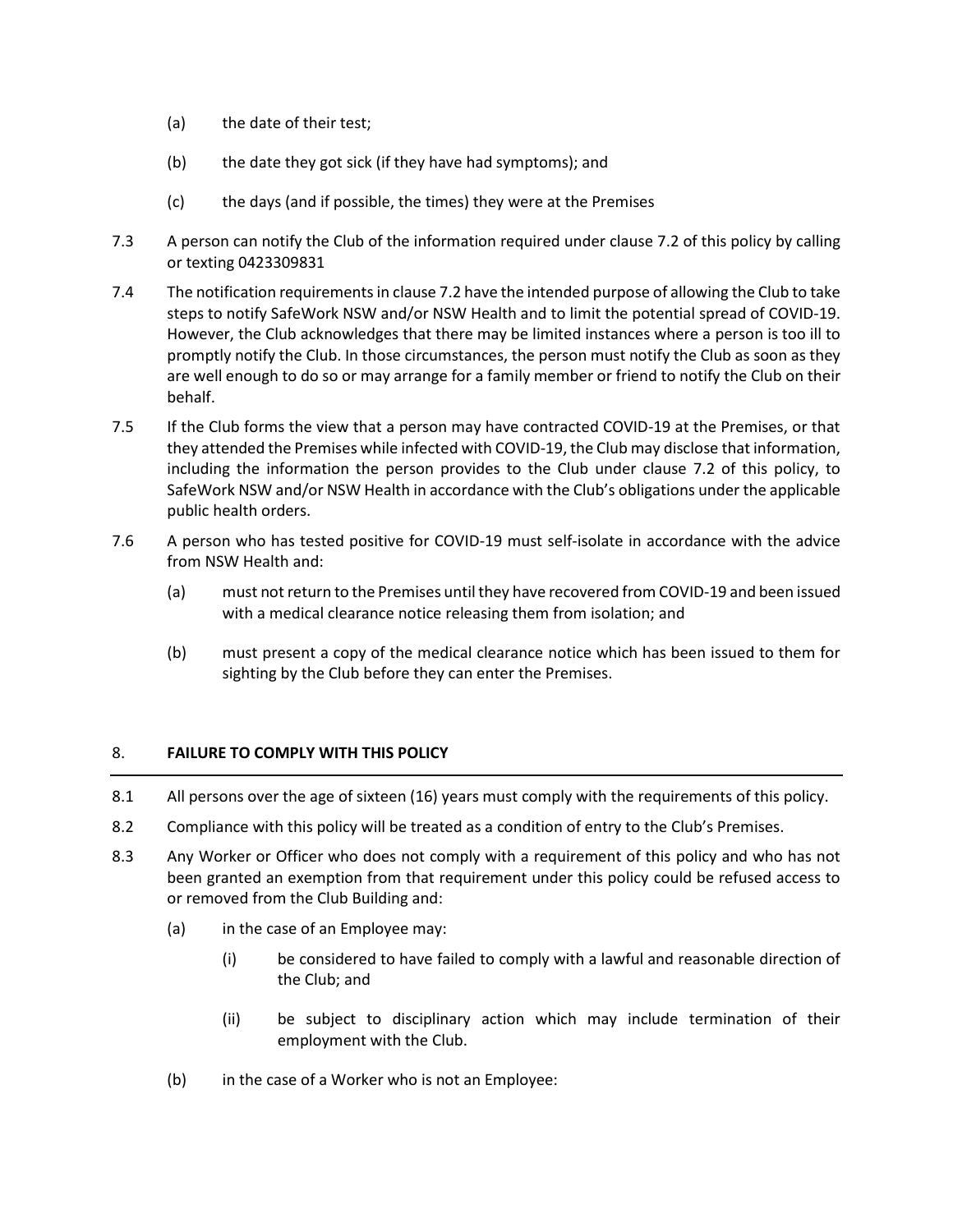- (a) the date of their test;
- (b) the date they got sick (if they have had symptoms); and
- (c) the days (and if possible, the times) they were at the Premises
- 7.3 A person can notify the Club of the information required under clause [7.2](#page-4-1) of this policy by calling or texting 0423309831
- 7.4 The notification requirements in claus[e 7.2](#page-4-1) have the intended purpose of allowing the Club to take steps to notify SafeWork NSW and/or NSW Health and to limit the potential spread of COVID-19. However, the Club acknowledges that there may be limited instances where a person is too ill to promptly notify the Club. In those circumstances, the person must notify the Club as soon as they are well enough to do so or may arrange for a family member or friend to notify the Club on their behalf.
- <span id="page-5-0"></span>7.5 If the Club forms the view that a person may have contracted COVID-19 at the Premises, or that they attended the Premises while infected with COVID-19, the Club may disclose that information, including the information the person provides to the Club under clause [7.2](#page-4-1) of this policy, to SafeWork NSW and/or NSW Health in accordance with the Club's obligations under the applicable public health orders.
- 7.6 A person who has tested positive for COVID-19 must self-isolate in accordance with the advice from NSW Health and:
	- (a) must not return to the Premises until they have recovered from COVID-19 and been issued with a medical clearance notice releasing them from isolation; and
	- (b) must present a copy of the medical clearance notice which has been issued to them for sighting by the Club before they can enter the Premises.

### 8. **FAILURE TO COMPLY WITH THIS POLICY**

- 8.1 All persons over the age of sixteen (16) years must comply with the requirements of this policy.
- 8.2 Compliance with this policy will be treated as a condition of entry to the Club's Premises.
- 8.3 Any Worker or Officer who does not comply with a requirement of this policy and who has not been granted an exemption from that requirement under this policy could be refused access to or removed from the Club Building and:
	- (a) in the case of an Employee may:
		- (i) be considered to have failed to comply with a lawful and reasonable direction of the Club; and
		- (ii) be subject to disciplinary action which may include termination of their employment with the Club.
	- (b) in the case of a Worker who is not an Employee: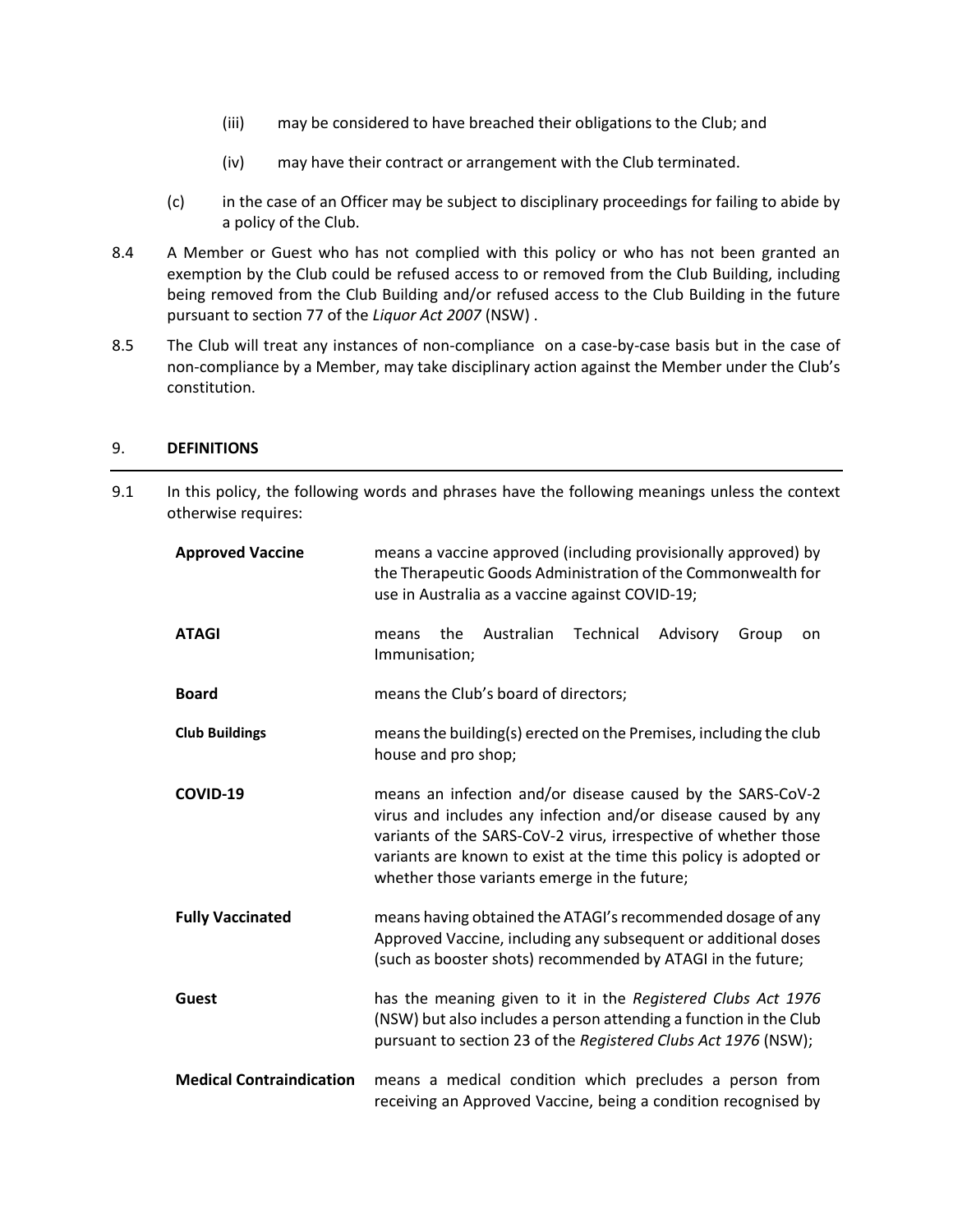- (iii) may be considered to have breached their obligations to the Club; and
- (iv) may have their contract or arrangement with the Club terminated.
- (c) in the case of an Officer may be subject to disciplinary proceedings for failing to abide by a policy of the Club.
- 8.4 A Member or Guest who has not complied with this policy or who has not been granted an exemption by the Club could be refused access to or removed from the Club Building, including being removed from the Club Building and/or refused access to the Club Building in the future pursuant to section 77 of the *Liquor Act 2007* (NSW) .
- 8.5 The Club will treat any instances of non-compliance on a case-by-case basis but in the case of non-compliance by a Member, may take disciplinary action against the Member under the Club's constitution.

9.1 In this policy, the following words and phrases have the following meanings unless the context

### <span id="page-6-0"></span>9. **DEFINITIONS**

| otherwise requires:             |                                                                                                                                                                                                                                                                                                                     |
|---------------------------------|---------------------------------------------------------------------------------------------------------------------------------------------------------------------------------------------------------------------------------------------------------------------------------------------------------------------|
| <b>Approved Vaccine</b>         | means a vaccine approved (including provisionally approved) by<br>the Therapeutic Goods Administration of the Commonwealth for<br>use in Australia as a vaccine against COVID-19;                                                                                                                                   |
| <b>ATAGI</b>                    | Technical<br>Australian<br>the<br>Advisory<br>Group<br>means<br>on<br>Immunisation;                                                                                                                                                                                                                                 |
| <b>Board</b>                    | means the Club's board of directors;                                                                                                                                                                                                                                                                                |
| <b>Club Buildings</b>           | means the building(s) erected on the Premises, including the club<br>house and pro shop;                                                                                                                                                                                                                            |
| COVID-19                        | means an infection and/or disease caused by the SARS-CoV-2<br>virus and includes any infection and/or disease caused by any<br>variants of the SARS-CoV-2 virus, irrespective of whether those<br>variants are known to exist at the time this policy is adopted or<br>whether those variants emerge in the future; |
| <b>Fully Vaccinated</b>         | means having obtained the ATAGI's recommended dosage of any<br>Approved Vaccine, including any subsequent or additional doses<br>(such as booster shots) recommended by ATAGI in the future;                                                                                                                        |
| <b>Guest</b>                    | has the meaning given to it in the Registered Clubs Act 1976<br>(NSW) but also includes a person attending a function in the Club<br>pursuant to section 23 of the Registered Clubs Act 1976 (NSW);                                                                                                                 |
| <b>Medical Contraindication</b> | means a medical condition which precludes a person from<br>receiving an Approved Vaccine, being a condition recognised by                                                                                                                                                                                           |